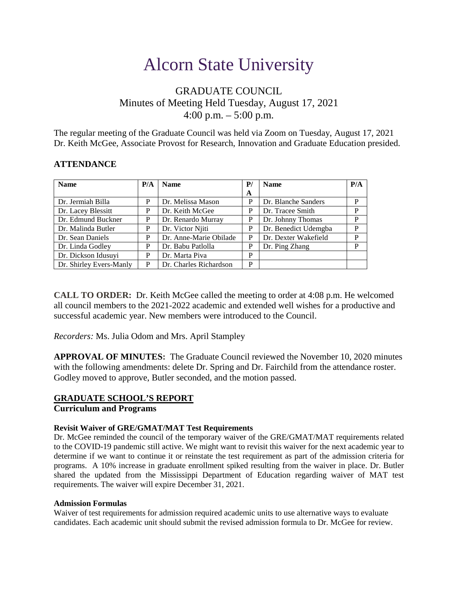# Alcorn State University

# GRADUATE COUNCIL Minutes of Meeting Held Tuesday, August 17, 2021 4:00 p.m.  $-5:00$  p.m.

The regular meeting of the Graduate Council was held via Zoom on Tuesday, August 17, 2021 Dr. Keith McGee, Associate Provost for Research, Innovation and Graduate Education presided.

#### **ATTENDANCE**

| <b>Name</b>             | P/A | <b>Name</b>            | P/ | <b>Name</b>          | P/A |
|-------------------------|-----|------------------------|----|----------------------|-----|
|                         |     |                        | A  |                      |     |
| Dr. Jermiah Billa       | P   | Dr. Melissa Mason      | P  | Dr. Blanche Sanders  | P   |
| Dr. Lacey Blessitt      | P   | Dr. Keith McGee        | P  | Dr. Tracee Smith     | P   |
| Dr. Edmund Buckner      | P   | Dr. Renardo Murray     | P  | Dr. Johnny Thomas    | P   |
| Dr. Malinda Butler      | P   | Dr. Victor Njiti       | P  | Dr. Benedict Udemgba | P   |
| Dr. Sean Daniels        | P   | Dr. Anne-Marie Obilade | P  | Dr. Dexter Wakefield | P   |
| Dr. Linda Godley        | P   | Dr. Babu Patlolla      | P  | Dr. Ping Zhang       | P   |
| Dr. Dickson Idusuyi     | P   | Dr. Marta Piva         | P  |                      |     |
| Dr. Shirley Evers-Manly | P   | Dr. Charles Richardson | P  |                      |     |

**CALL TO ORDER:** Dr. Keith McGee called the meeting to order at 4:08 p.m. He welcomed all council members to the 2021-2022 academic and extended well wishes for a productive and successful academic year. New members were introduced to the Council.

*Recorders:* Ms. Julia Odom and Mrs. April Stampley

**APPROVAL OF MINUTES:** The Graduate Council reviewed the November 10, 2020 minutes with the following amendments: delete Dr. Spring and Dr. Fairchild from the attendance roster. Godley moved to approve, Butler seconded, and the motion passed.

# **GRADUATE SCHOOL'S REPORT**

# **Curriculum and Programs**

#### **Revisit Waiver of GRE/GMAT/MAT Test Requirements**

Dr. McGee reminded the council of the temporary waiver of the GRE/GMAT/MAT requirements related to the COVID-19 pandemic still active. We might want to revisit this waiver for the next academic year to determine if we want to continue it or reinstate the test requirement as part of the admission criteria for programs. A 10% increase in graduate enrollment spiked resulting from the waiver in place. Dr. Butler shared the updated from the Mississippi Department of Education regarding waiver of MAT test requirements. The waiver will expire December 31, 2021.

#### **Admission Formulas**

Waiver of test requirements for admission required academic units to use alternative ways to evaluate candidates. Each academic unit should submit the revised admission formula to Dr. McGee for review.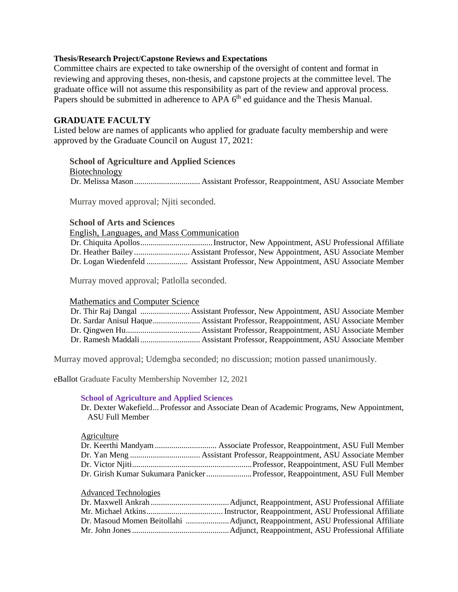#### **Thesis/Research Project/Capstone Reviews and Expectations**

Committee chairs are expected to take ownership of the oversight of content and format in reviewing and approving theses, non-thesis, and capstone projects at the committee level. The graduate office will not assume this responsibility as part of the review and approval process. Papers should be submitted in adherence to APA 6<sup>th</sup> ed guidance and the Thesis Manual.

### **GRADUATE FACULTY**

Listed below are names of applicants who applied for graduate faculty membership and were approved by the Graduate Council on August 17, 2021:

# **School of Agriculture and Applied Sciences**

Biotechnology Dr. Melissa Mason................................ Assistant Professor, Reappointment, ASU Associate Member

Murray moved approval; Njiti seconded.

#### **School of Arts and Sciences**

English, Languages, and Mass Communication

Dr. Chiquita Apollos...................................Instructor, New Appointment, ASU Professional Affiliate Dr. Heather Bailey ...........................Assistant Professor, New Appointment, ASU Associate Member Dr. Logan Wiedenfeld .................... Assistant Professor, New Appointment, ASU Associate Member

Murray moved approval; Patlolla seconded.

#### Mathematics and Computer Science

Murray moved approval; Udemgba seconded; no discussion; motion passed unanimously.

eBallot Graduate Faculty Membership November 12, 2021

#### **School of Agriculture and Applied Sciences**

Dr. Dexter Wakefield... Professor and Associate Dean of Academic Programs, New Appointment, ASU Full Member

#### Agriculture

#### Advanced Technologies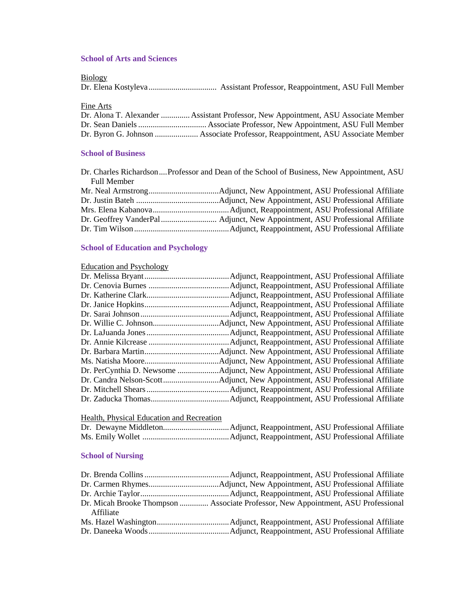# **School of Arts and Sciences**

Biology

|--|--|--|--|

Fine Arts

| Dr. Alona T. Alexander  Assistant Professor, New Appointment, ASU Associate Member |
|------------------------------------------------------------------------------------|
|                                                                                    |
|                                                                                    |

#### **School of Business**

|                    | Dr. Charles Richardson Professor and Dean of the School of Business, New Appointment, ASU |
|--------------------|-------------------------------------------------------------------------------------------|
| <b>Full Member</b> |                                                                                           |
|                    |                                                                                           |
|                    |                                                                                           |
|                    |                                                                                           |
|                    |                                                                                           |
|                    |                                                                                           |

# **School of Education and Psychology**

# Education and Psychology

# Health, Physical Education and Recreation

# **School of Nursing**

| Affiliate | Dr. Micah Brooke Thompson  Associate Professor, New Appointment, ASU Professional |
|-----------|-----------------------------------------------------------------------------------|
|           |                                                                                   |
|           |                                                                                   |